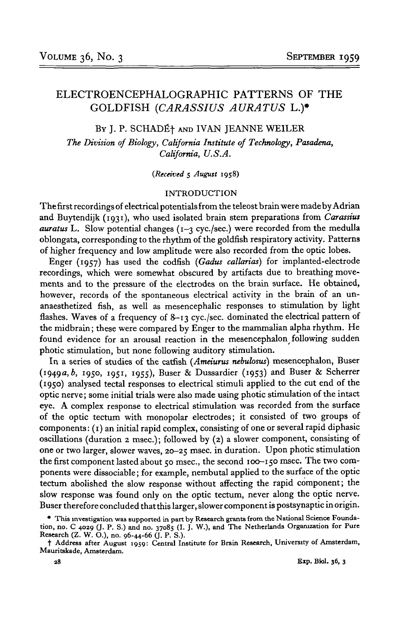# ELECTROENCEPHALOGRAPHIC PATTERNS OF THE GOLDFISH *(CARASSIUS AURATUS* L.)»

BY J. P. SCHADɆ AND IVAN JEANNE WEILER

*The Division of Biology, California Institute of Technology, Pasadena, California, U.S.A.*

*(Received* 5 *August* 1958)

## INTRODUCTION

The first recordings of electrical potentials from the teleost brain were made by Adrian and Buytendijk (1931), who used isolated brain stem preparations from *Carassius auratus* L. Slow potential changes (1-3 eye./sec.) were recorded from the medulla oblongata, corresponding to the rhythm of the goldfish respiratory activity. Patterns of higher frequency and low amplitude were also recorded from the optic lobes.

Enger (1957) has used the codfish *(Gadus callarias)* for implanted-electrode recordings, which were somewhat obscured by artifacts due to breathing movements and to the pressure of the electrodes on the brain surface. He obtained, however, records of the spontaneous electrical activity in the brain of an unanaesthetized fish, as well as mesencephalic responses to stimulation by light flashes. Waves of a frequency of 8-13 cyc./sec. dominated the electrical pattern of the midbrain; these were compared by Enger to the mammalian alpha rhythm. He found evidence for an arousal reaction in the mesencephalon following sudden photic stimulation, but none following auditory stimulation.

In a series of studies of the catfish *(Ameiurus nebulosus)* mesencephalon, Buser (1949a, b, 1950, 1951, 1955), Buser & Dussardier (1953) and Buser & Scherrer (1950) analysed tectal responses to electrical stimuli applied to the cut end of the optic nerve; some initial trials were also made using photic stimulation of the intact eye. A complex response to electrical stimulation was recorded from the surface of the optic tectum with monopolar electrodes; it consisted of two groups of components: (1) an initial rapid complex, consisting of one or several rapid diphasic oscillations (duration 2 msec); followed by (2) a slower component, consisting of one or two larger, slower waves, 20-25 msec, in duration. Upon photic stimulation the first component lasted about 50 msec., the second 100-150 msec. The two components were dissociable; for example, nembutal applied to the surface of the optic tectum abolished the slow response without affecting the rapid component; the slow response was found only on the optic tectum, never along the optic nerve. Buser therefore concluded that this larger, slower component is postsynaptic in origin.

<sup>•</sup> This investigation was supported in part by Research grants from the National Science Foundation, no. C 4029 (J. P. S.) and no. 37085 (I. J. W.), and The Netherlands Organization for Pure Research (Z. W. O.), no. 96-44-66 (J. P. S.)-

t Address after August 1959: Central Institute for Brain Research, University of Amsterdam, Mauritskade, Amsterdam.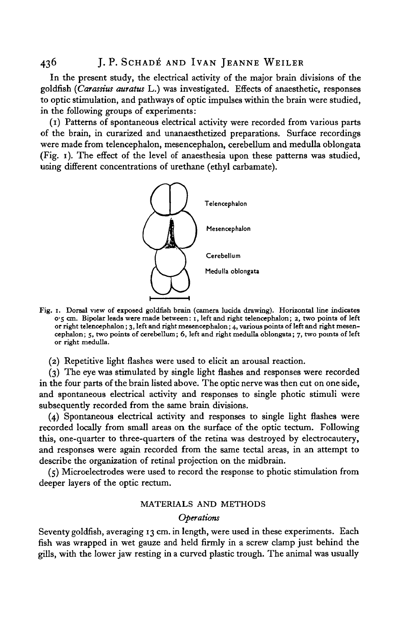In the present study, the electrical activity of the major brain divisions of the goldfish *(Carassius auratus* L.) was investigated. Effects of anaesthetic, responses to optic stimulation, and pathways of optic impulses within the brain were studied, in the following groups of experiments:

(1) Patterns of spontaneous electrical activity were recorded from various parts of the brain, in curarized and unanaesthetized preparations. Surface recordings were made from telencephalon, mesencephalon, cerebellum and medulla oblongata (Fig. 1). The effect of the level of anaesthesia upon these patterns was studied, using different concentrations of urethane (ethyl carbamate).



- Fig. 1. Dorsal view of exposed goldfish brain (camera lucida drawing). Horizontal line indicates<br>o'5 cm. Bipolar leads were made between: 1, left and right telencephalon; 2, two points of left<br>or right telencephalon; 3, le
	- (2) Repetitive light flashes were used to elicit an arousal reaction.

(3) The eye was stimulated by single light flashes and responses were recorded in the four parts of the brain listed above. The optic nerve was then cut on one side, and spontaneous electrical activity and responses to single photic stimuli were subsequently recorded from the same brain divisions.

(4) Spontaneous electrical activity and responses to single light flashes were recorded locally from small areas on the surface of the optic tectum. Following this, one-quarter to three-quarters of the retina was destroyed by electrocautery, and responses were again recorded from the same tectal areas, in an attempt to describe the organization of retinal projection on the midbrain.

(5) Microelectrodes were used to record the response to photic stimulation from deeper layers of the optic rectum.

## MATERIALS AND METHODS

# *Operations*

Seventy goldfish, averaging 13 cm. in length, were used in these experiments. Each fish was wrapped in wet gauze and held firmly in a screw clamp just behind the gills, with the lower jaw resting in a curved plastic trough. The animal was usually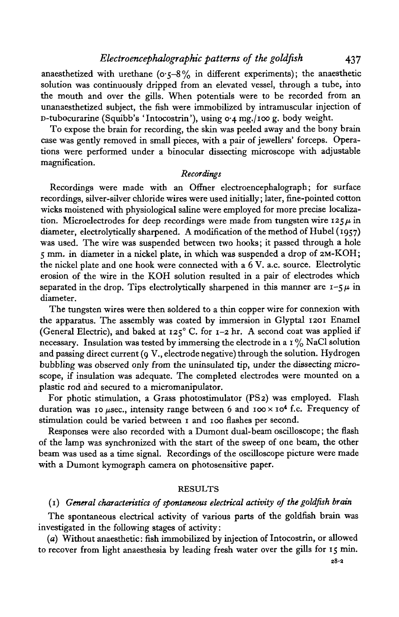anaesthetized with urethane ( $\sigma$ -5-8% in different experiments); the anaesthetic solution was continuously dripped from an elevated vessel, through a tube, into the mouth and over the gills. When potentials were to be recorded from an unanaesthetized subject, the fish were immobilized by intramuscular injection of D-tubocurarine (Squibb's 'Intocostrin'), using 0-4 mg./ioo g. body weight.

To expose the brain for recording, the skin was peeled away and the bony brain case was gently removed in small pieces, with a pair of jewellers' forceps. Operations were performed under a binocular dissecting microscope with adjustable magnification.

## *Recordings*

Recordings were made with an Offner electroencephalograph; for surface recordings, silver-silver chloride wires were used initially; later, fine-pointed cotton wicks moistened with physiological saline were employed for more precise localization. Microelectrodes for deep recordings were made from tungsten wire  $125\mu$  in diameter, electrolytically sharpened. A modification of the method of Hubel (1957) was used. The wire was suspended between two hooks; it passed through a hole 5 mm. in diameter in a nickel plate, in which was suspended a drop of 2M-KOH; the nickel plate and one hook were connected with a  $6$  V. a.c. source. Electrolytic erosion of the wire in the KOH solution resulted in a pair of electrodes which separated in the drop. Tips electrolytically sharpened in this manner are  $1 - 5 \mu$  in diameter.

The tungsten wires were then soldered to a thin copper wire for connexion with the apparatus. The assembly was coated by immersion in Glyptal 1201 Enamel (General Electric), and baked at  $125^\circ$  C. for  $1-2$  hr. A second coat was applied if necessary. Insulation was tested by immersing the electrode in a  $1\%$  NaCl solution and passing direct current (9 V., electrode negative) through the solution. Hydrogen bubbling was observed only from the uninsulated tip, under the dissecting microscope, if insulation was adequate. The completed electrodes were mounted on a plastic rod and secured to a micromanipulator.

For photic stimulation, a Grass photostimulator (PS 2) was employed. Flash duration was 10  $\mu$ sec., intensity range between 6 and 100 x 10<sup>4</sup> f.c. Frequency of stimulation could be varied between 1 and 100 flashes per second.

Responses were also recorded with a Dumont dual-beam oscilloscope; the flash of the lamp was synchronized with the start of the sweep of one beam, the other beam was used as a time signal. Recordings of the oscilloscope picture were made with a Dumont kymograph camera on photosensitive paper.

## **RESULTS**

# (1) *General characteristics of spontaneous electrical activity of the goldfish brain*

The spontaneous electrical activity of various parts of the goldfish brain was investigated in the following stages of activity:

(a) Without anaesthetic: fish immobilized by injection of Intocostrin, or allowed to recover from light anaesthesia by leading fresh water over the gills for 15 min.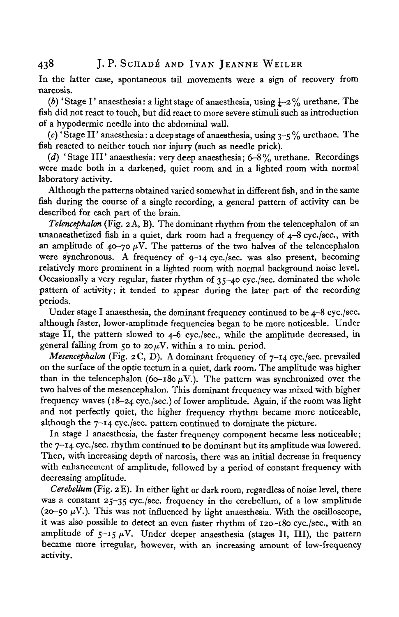In the latter case, spontaneous tail movements were a sign of recovery from narcosis.

*(b)* 'Stage I' anaesthesia: a light stage of anaesthesia, using  $\frac{1}{4}$ -2% urethane. The fish did not react to touch, but did react to more severe stimuli such as introduction of a hypodermic needle into the abdominal wall.

(c) 'Stage II' anaesthesia: a deep stage of anaesthesia, using  $3-5\%$  urethane. The fish reacted to neither touch nor injury (such as needle prick).

*(d)* 'Stage III' anaesthesia: very deep anaesthesia; 6-8% urethane. Recordings were made both in a darkened, quiet room and in a lighted room with normal laboratory activity.

Although the patterns obtained varied somewhat in different fish, and in the same fish during the course of a single recording, a general pattern of activity can be described for each part of the brain.

*Telencephalon* (Fig. 2 A, B). The dominant rhythm from the telencephalon of an unanaesthetized fish in a quiet, dark room had a frequency of  $4-8$  cyc./sec., with an amplitude of  $40\nu$ -70  $\mu$ V. The patterns of the two halves of the telencephalon were synchronous. A frequency of 9-14 cyc./sec. was also present, becoming relatively more prominent in a lighted room with normal background noise level. Occasionally a very regular, faster rhythm of 35-40 cyc./sec. dominated the whole pattern of activity; it tended to appear during the later part of the recording periods.

Under stage I anaesthesia, the dominant frequency continued to be 4-8 cyc./sec. although faster, lower-amplitude frequencies began to be more noticeable. Under stage II, the pattern slowed to 4-6 cyc./sec., while the amplitude decreased, in general falling from 50 to 20 $\mu$ V. within a 10 min. period.

*Mesencephalon* (Fig. 2 C, D). A dominant frequency of 7-14 cyc./sec. prevailed on the surface of the optic tectum in a quiet, dark room. The amplitude was higher than in the telencephalon (60-180  $\mu$ V.). The pattern was synchronized over the two halves of the mesencephalon. This dominant frequency was mixed with higher frequency waves (18-24 cyc./sec.) of lower amplitude. Again, if the room was light and not perfectly quiet, the higher frequency rhythm became more noticeable, although the 7-14 cyc./sec. pattern continued to dominate the picture.

In stage I anaesthesia, the faster frequency component became less noticeable; the 7-14 cyc./sec. rhythm continued to be dominant but its amplitude was lowered. Then, with increasing depth of narcosis, there was an initial decrease in frequency with enhancement of amplitude, followed by a period of constant frequency with decreasing amplitude.

*Cerebellum* (Fig. 2 E). In either light or dark room, regardless of noise level, there was a constant 25-35 cyc./sec. frequency in the cerebellum, of a low amplitude (20-50  $\mu$ V.). This was not influenced by light anaesthesia. With the oscilloscope, it was also possible to detect an even faster rhythm of 120-180 cyc./sec., with an amplitude of  $5-15 \mu V$ . Under deeper anaesthesia (stages II, III), the pattern became more irregular, however, with an increasing amount of low-frequency activity.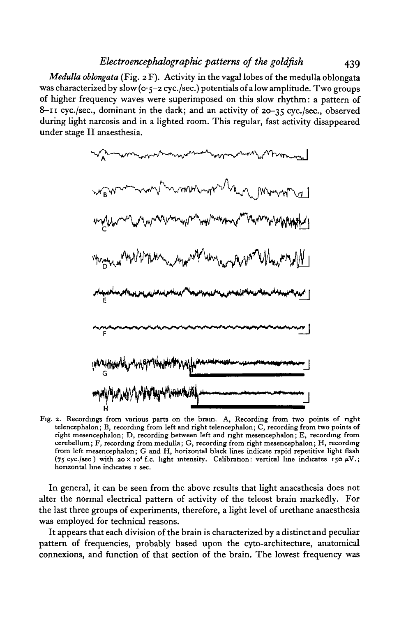*Medulla oblongata* (Fig. 2 F). Activity in the vagal lobes of the medulla oblongata was characterized by slow ( $o \cdot \zeta - 2$  cyc./sec.) potentials of a low amplitude. Two groups of higher frequency waves were superimposed on this slow rhythm: a pattern of 8-11 cyc./sec., dominant in the dark; and an activity of 20-35 cyc./sec, observed during light narcosis and in a lighted room. This regular, fast activity disappeared under stage II anaesthesia.



Fig. 2. Recordings from various parts on the brain. A, Recording from two points of right telencephalon; B, recording from left and right telencephalon; C, recording from two points of right mesencephalon; D, recording between left and right mesencephalon; E, recording from cerebellum; F, recording from medulla; G, recording from right mesencephalon; H, recording from left mesencephalon; G and H, horizontal black lines indicate rapid repetitive light flash (75 cyc./sec) with  $20 \times 10^4$  f.c. light intensity. Calibration: vertical line indicates 150  $\mu$ V.; horizontal line indicates 1 sec.

In general, it can be seen from the above results that light anaesthesia does not alter the normal electrical pattern of activity of the teleost brain markedly. For the last three groups of experiments, therefore, a light level of urethane anaesthesia was employed for technical reasons.

It appears that each division of the brain is characterized by a distinct and peculiar pattern of frequencies, probably based upon the cyto-architecture, anatomical connexions, and function of that section of the brain. The lowest frequency was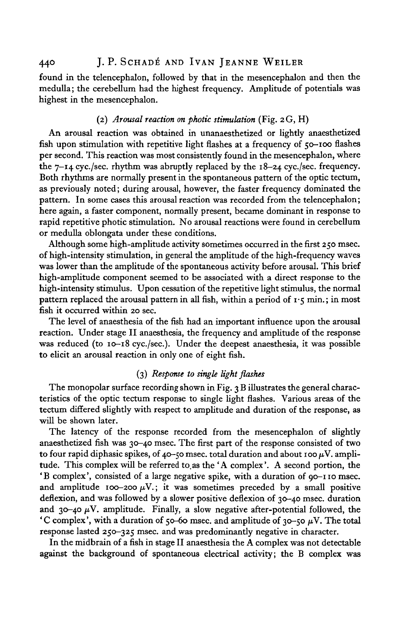# 440 J.P. SCHADÉ AND IVAN JEANNE WEILER

found in the telencephalon, followed by that in the mesencephalon and then the medulla; the cerebellum had the highest frequency. Amplitude of potentials was highest in the mesencephalon.

# (2) *Arousal reaction on photic stimulation* (Fig. 2 G, H)

An arousal reaction was obtained in unanaesthetized or lightly anaesthetized fish upon stimulation with repetitive light flashes at a frequency of 50—100 flashes per second. This reaction was most consistently found in the mesencephalon, where the  $7-14$  cyc./sec. rhythm was abruptly replaced by the  $18-24$  cyc./sec. frequency. Both rhythms are normally present in the spontaneous pattern of the optic tectum, as previously noted; during arousal, however, the faster frequency dominated the pattern. In some cases this arousal reaction was recorded from the telencephalon; here again, a faster component, normally present, became dominant in response to rapid repetitive photic stimulation. No arousal reactions were found in cerebellum or medulla oblongata under these conditions.

Although some high-amplitude activity sometimes occurred in the first 250 msec, of high-intensity stimulation, in general the amplitude of the high-frequency waves was lower than the amplitude of the spontaneous activity before arousal. This brief high-amplitude component seemed to be associated with a direct response to the high-intensity stimulus. Upon cessation of the repetitive light stimulus, the normal pattern replaced the arousal pattern in all fish, within a period of  $\mathbf{r} \cdot \mathbf{\varsigma}$  min.; in most fish it occurred within 20 sec.

The level of anaesthesia of the fish had an important influence upon the arousal reaction. Under stage II anaesthesia, the frequency and amplitude of the response was reduced (to 10-18 cyc./sec). Under the deepest anaesthesia, it was possible to elicit an arousal reaction in only one of eight fish.

# (3) *Response to single light flashes*

The monopolar surface recording shown in Fig. 3 B illustrates the general characteristics of the optic tectum response to single light flashes. Various areas of the tectum differed slightly with respect to amplitude and duration of the response, as will be shown later.

The latency of the response recorded from the mesencephalon of slightly anaesthetized fish was 30-40 msec. The first part of the response consisted of two to four rapid diphasic spikes, of 40-50 msec. total duration and about 100  $\mu$ V. amplitude. This complex will be referred to.as the 'A complex'. A second portion, the 'B complex', consisted of a large negative spike, with a duration of 90-110 msec, and amplitude 100-200  $\mu$ V.; it was sometimes preceded by a small positive deflexion, and was followed by a slower positive deflexion of 30-40 msec, duration and 30-40  $\mu$ V. amplitude. Finally, a slow negative after-potential followed, the 'C complex', with a duration of 50-60 msec. and amplitude of 30-50  $\mu$ V. The total response lasted 250-325 msec, and was predominantly negative in character.

In the midbrain of a fish in stage II anaesthesia the A complex was not detectable against the background of spontaneous electrical activity; the B complex was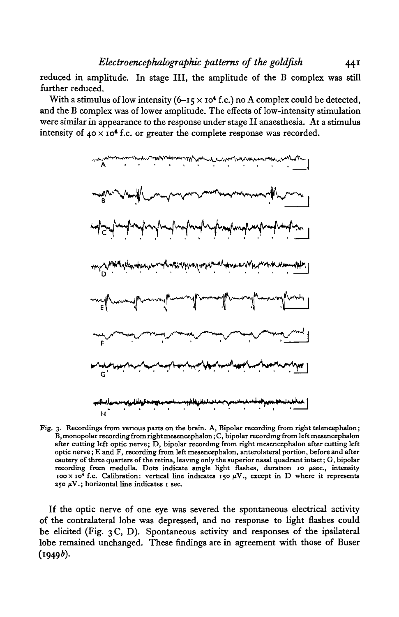reduced in amplitude. In stage III, the amplitude of the B complex was still further reduced.

With a stimulus of low intensity  $(6-15 \times 10^4 \text{ f.c.})$  no A complex could be detected, and the B complex was of lower amplitude. The effects of low-intensity stimulation were similar in appearance to the response under stage II anaesthesia. At a stimulus intensity of  $40 \times 10^4$  f.c. or greater the complete response was recorded.



Fig. 3. Recordings from various parts on the brain. A, Bipolar recording from right telencephalon; B, monopolar recording from right mesencephalon; C, bipolar recording from left mesencephalon after cutting left optic nerve; D, bipolar recording from right mesencephalon after cutting left cautery of three quarters of the retina, leaving only the superior nasal quadrant intact; G, bipolar recording from medulla. Dots indicate single light flashes, duration 10  $\mu$ sec., intensity  $100 \times 10^4$  f.c. Calibration: vertical line indicates 150  $\mu$ V., except in D where it represents 250  $\mu$ V.; horizontal line indicates 1 sec.

If the optic nerve of one eye was severed the spontaneous electrical activity of the contralateral lobe was depressed, and no response to light flashes could be elicited (Fig. 3 C, D). Spontaneous activity and responses of the ipsilateral lobe remained unchanged. These findings are in agreement with those of Buser  $(1949b).$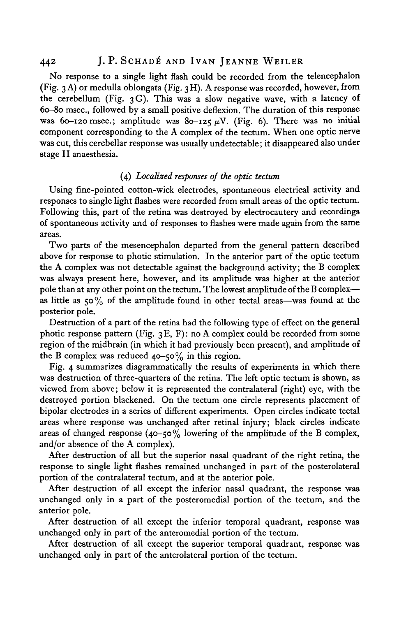#### 44<sup>2</sup> J. P. SCHADÉ AND IVAN JEANNE WEILER

No response to a single light flash could be recorded from the telencephalon (Fig. 3A) or medulla oblongata (Fig. 3H). A response was recorded, however, from the cerebellum (Fig. 3G). This was a slow negative wave, with a latency of 60-80 msec, followed by a small positive deflexion. The duration of this response was 60-120 msec.; amplitude was 80-125  $\mu$ V. (Fig. 6). There was no initial component corresponding to the A complex of the tectum. When one optic nerve was cut, this cerebellar response was usually undetectable; it disappeared also under stage II anaesthesia.

# (4) *Localized responses of the optic tectum*

Using fine-pointed cotton-wick electrodes, spontaneous electrical activity and responses to single light flashes were recorded from small areas of the optic tectum. Following this, part of the retina was destroyed by electrocautery and recordings of spontaneous activity and of responses to flashes were made again from the same areas.

Two parts of the mesencephalon departed from the general pattern described above for response to photic stimulation. In the anterior part of the optic tectum the A complex was not detectable against the background activity; the B complex was always present here, however, and its amplitude was higher at the anterior pole than at any other point on the tectum. The lowest amplitude of the B complex as little as 50 % of the amplitude found in other tectal areas—was found at the posterior pole.

Destruction of a part of the retina had the following type of effect on the general photic response pattern (Fig.  $3E$ , F): no A complex could be recorded from some region of the midbrain (in which it had previously been present), and amplitude of the B complex was reduced  $40-50\%$  in this region.

Fig. 4 summarizes diagrammatically the results of experiments in which there was destruction of three-quarters of the retina. The left optic tectum is shown, as viewed from above; below it is represented the contralateral (right) eye, with the destroyed portion blackened. On the tectum one circle represents placement of bipolar electrodes in a series of different experiments. Open circles indicate tectal areas where response was unchanged after retinal injury; black circles indicate areas of changed response (40-50% lowering of the amplitude of the B complex, and/or absence of the A complex).

After destruction of all but the superior nasal quadrant of the right retina, the response to single light flashes remained unchanged in part of the posterolateral portion of the contralateral tectum, and at the anterior pole.

After destruction of all except the inferior nasal quadrant, the response was unchanged only in a part of the posteromedial portion of the tectum, and the anterior pole.

After destruction of all except the inferior temporal quadrant, response was unchanged only in part of the anteromedial portion of the tectum.

After destruction of all except the superior temporal quadrant, response was unchanged only in part of the anterolateral portion of the tectum.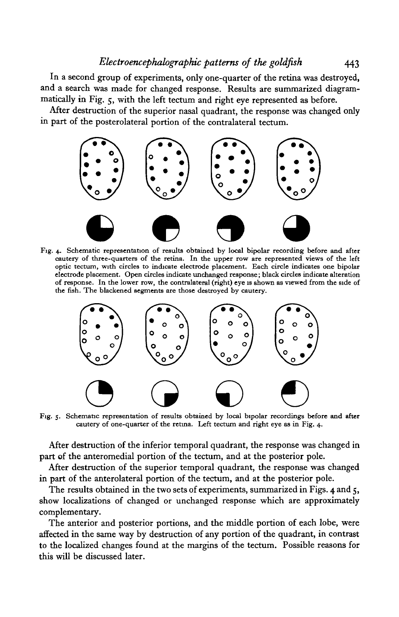In a second group of experiments, only one-quarter of the retina was destroyed, and a search was made for changed response. Results are summarized diagrammatically in Fig. 5, with the left tectum and right eye represented as before.

After destruction of the superior nasal quadrant, the response was changed only in part of the posterolateral portion of the contralateral tectum.



Fig. 4. Schematic representation of results obtained by local bipolar recording before and after cautery of three-quarters of the retina. In the upper row are represented views of the left electrode placement. Open circles indicate unchanged response; black circles indicate alteration<br>of response. In the lower row, the contralateral (right) eye is shown as viewed from the side of the fish. The blackened segments are those destroyed by cautery.



Fig. 5. Schematic representation of results obtained by local bipolar recordings before and after cautery of one-quarter of the retina. Left tectum and right eye as in Fig. 4.

After destruction of the inferior temporal quadrant, the response was changed in part of the anteromedial portion of the tectum, and at the posterior pole.

After destruction of the superior temporal quadrant, the response was changed in part of the anterolateral portion of the tectum, and at the posterior pole.

The results obtained in the two sets of experiments, summarized in Figs. 4 and 5, show localizations of changed or unchanged response which are approximately complementary.

The anterior and posterior portions, and the middle portion of each lobe, were affected in the same way by destruction of any portion of the quadrant, in contrast to the localized changes found at the margins of the tectum. Possible reasons for this will be discussed later.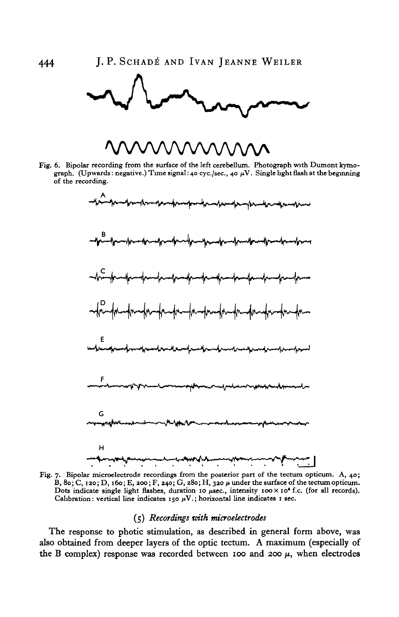# vwwvwvwvv

Fig. 6. Bipolar recording from the surface of the left cerebellum. Photograph with Dumont kymograph. (Upwards: negative.) Time signal: 40 cyc./sec., 40  $\mu$ V. Single light flash at the beginning of the recording.



Fig. 7. Bipolar microelectrode recordings from the posterior part of the tectum opticum. A, 40;<br>B, 80; C, 120; D, 160; E, 200; F, 240; G, 280; H, 320  $\mu$  under the surface of the tectum opticum. Dots indicate single light flashes, duration 10 usec., intensity  $100 \times 10^4$  f.c. (for all records).<br>Calibration: vertical line indicates  $150 \mu\text{V}$ ; horizontal line indicates 1 sec.

## (5) *Recordings with mcroelectrodes*

The response to photic stimulation, as described in general form above, was also obtained from deeper layers of the optic tectum. A maximum (especially of the B complex) response was recorded between 100 and 200  $\mu$ , when electrodes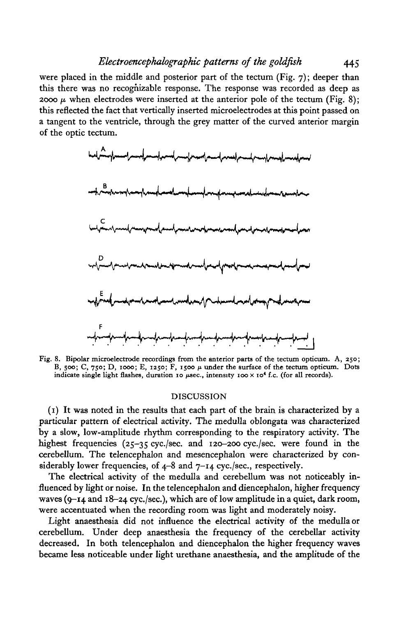were placed in the middle and posterior part of the tectum (Fig.  $7$ ); deeper than this there was no recognizable response. The response was recorded as deep as 2000  $\mu$  when electrodes were inserted at the anterior pole of the tectum (Fig. 8); this reflected the fact that vertically inserted microelectrodes at this point passed on a tangent to the ventricle, through the grey matter of the curved anterior margin of the optic tectum.



Fig. 8. Bipolar microelectrode recordings from the anterior parts of the tectum opticum. A, 250; B, 500; C, 750; D, 1000; E, 1250; F, 1500  $\mu$  under the surface of the tectum opticum. Dots indicate single light flashes, duration 10  $\mu$ sec., intensity 100 x 10<sup>4</sup> f.c. (for all records).

## DISCUSSION

(1) It was noted in the results that each part of the brain is characterized by a particular pattern of electrical activity. The medulla oblongata was characterized by a slow, low-amplitude rhythm corresponding to the respiratory activity. The highest frequencies (25-35 cyc./sec. and 120-200 cyc./sec. were found in the cerebellum. The telencephalon and mesencephalon were characterized by considerably lower frequencies, of 4-8 and 7-14 cyc./sec, respectively.

The electrical activity of the medulla and cerebellum was not noticeably influenced by light or noise. In the telencephalon and diencephalon, higher frequency waves (9-14 and 18-24 cyc./sec), which are of low amplitude in a quiet, dark room, were accentuated when the recording room was light and moderately noisy.

Light anaesthesia did not influence the electrical activity of the medulla or cerebellum. Under deep anaesthesia the frequency of the cerebellar activity decreased. In both telencephalon and diencephalon the higher frequency waves became less noticeable under light urethane anaesthesia, and the amplitude of the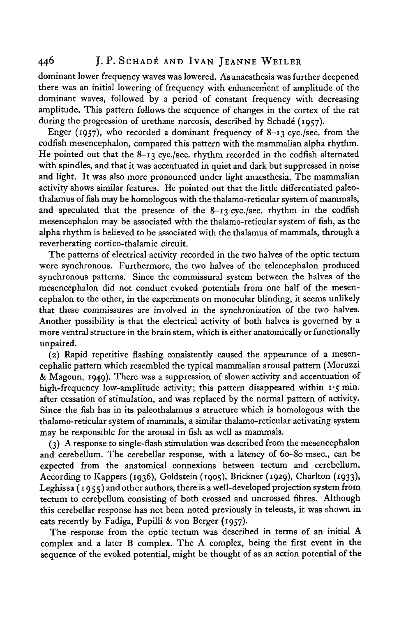# 446 J. P. SCHADÉ AND IVAN JEANNE WEILER

dominant lower frequency waves was lowered. As anaesthesia was further deepened there was an initial lowering of frequency with enhancement of amplitude of the dominant waves, followed by a period of constant frequency with decreasing amplitude. This pattern follows the sequence of changes in the cortex of the rat during the progression of urethane narcosis, described by Schadé (1957).

Enger (1957), who recorded a dominant frequency of  $8-13$  cyc./sec. from the codfish mesencephalon, compared this pattern with the mammalian alpha rhythm. He pointed out that the 8-13 cyc./sec. rhythm recorded in the codfish alternated with spindles, and that it was accentuated in quiet and dark but suppressed in noise and light. It was also more pronounced under light anaesthesia. The mammalian activity shows similar features. He pointed out that the little differentiated paleothalamus of fish may be homologous with the thalamo-reticular system of mammals, and speculated that the presence of the  $8-13$  cyc./sec. rhythm in the codfish mesencephalon may be associated with the thalamo-reticular system of fish, as the alpha rhythm is believed to be associated with the thalamus of mammals, through a reverberating cortico-thalamic circuit.

The patterns of electrical activity recorded in the two halves of the optic tectum were synchronous. Furthermore, the two halves of the telencephalon produced synchronous patterns. Since the commissural system between the halves of the mesencephalon did not conduct evoked potentials from one half of the mesencephalon to the other, in the experiments on monocular blinding, it seems unlikely that these commissures are involved in the synchronization of the two halves. Another possibility is that the electrical activity of both halves is governed by a more ventral structure in the brain stem, which is either anatomically or functionally unpaired.

(2) Rapid repetitive flashing consistently caused the appearance of a mesencephalic pattern which resembled the typical mammalian arousal pattern (Moruzzi  $\&$  Magoun, 1949). There was a suppression of slower activity and accentuation of high-frequency low-amplitude activity; this pattern disappeared within 1.5 min. after cessation of stimulation, and was replaced by the normal pattern of activity. Since the fish has in its paleothalamus a structure which is homologous with the thalamo-reticular system of mammals, a similar thalamo-reticular activating system may be responsible for the arousal in fish as well as mammals.

(3) A response to single-flash stimulation was described from the mesencephalon and cerebellum. The cerebellar response, with a latency of 60-80 msec, can be expected from the anatomical connexions between tectum and cerebellum. According to Kappers (1936), Goldstein (1905), Brickner (1929), Charlton (1933), Leghissa (1955) and other authors, there is a well-developed projection system from tectum to cerebellum consisting of both crossed and uncrossed fibres. Although this cerebellar response has not been noted previously in teleosts, it was shown in cats recently by Fadiga, Pupilli & von Berger (1957)-

The response from the optic tectum was described in terms of an initial A complex and a later B complex. The A complex, being the first event in the sequence of the evoked potential, might be thought of as an action potential of the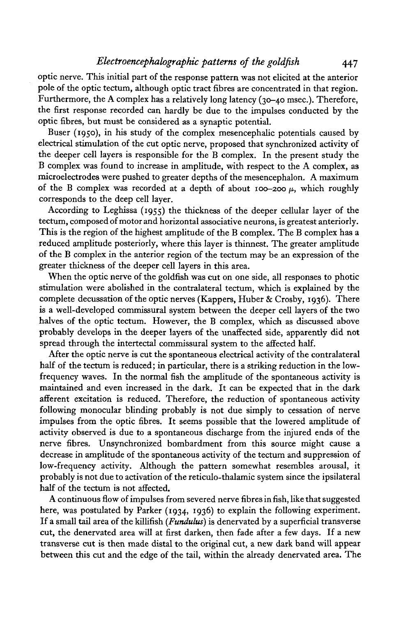optic nerve. This initial part of the response pattern was not elicited at the anterior pole of the optic tectum, although optic tract fibres are concentrated in that region. Furthermore, the A complex has a relatively long latency (30-40 msec). Therefore, the first response recorded can hardly be due to the impulses conducted by the optic fibres, but must be considered as a synaptic potential.

Buser (1950), in his study of the complex mesencephalic potentials caused by electrical stimulation of the cut optic nerve, proposed that synchronized activity of the deeper cell layers is responsible for the B complex. In the present study the B complex was found to increase in amplitude, with respect to the A complex, as microelectrodes were pushed to greater depths of the mesencephalon. A maximum of the B complex was recorded at a depth of about 100-200  $\mu$ , which roughly corresponds to the deep cell layer.

According to Leghissa (1955) the thickness of the deeper cellular layer of the tectum, composed of motor and horizontal associative neurons, is greatest anteriorly. This is the region of the highest amplitude of the B complex. The B complex has a reduced amplitude posteriorly, where this layer is thinnest. The greater amplitude of the B complex in the anterior region of the tectum may be an expression of the greater thickness of the deeper cell layers in this area.

When the optic nerve of the goldfish was cut on one side, all responses to photic stimulation were abolished in the contralateral tectum, which is explained by the complete decussation of the optic nerves (Kappers, Huber & Crosby, 1936). There is a well-developed commissural system between the deeper cell layers of the two halves of the optic tectum. However, the B complex, which as discussed above probably develops in the deeper layers of the unaffected side, apparently did not spread through the intertectal commissural system to the affected half.

After the optic nerve is cut the spontaneous electrical activity of the contralateral half of the tectum is reduced; in particular, there is a striking reduction in the lowfrequency waves. In the normal fish the amplitude of the spontaneous activity is maintained and even increased in the dark. It can be expected that in the dark afferent excitation is reduced. Therefore, the reduction of spontaneous activity following monocular blinding probably is not due simply to cessation of nerve impulses from the optic fibres. It seems possible that the lowered amplitude of activity observed is due to a spontaneous discharge from the injured ends of the nerve fibres. Unsynchronized bombardment from this source might cause a decrease in amplitude of the spontaneous activity of the tectum and suppression of low-frequency activity. Although the pattern somewhat resembles arousal, it probably is not due to activation of the reticulo-thalamic system since the ipsilateral half of the tectum is not affected.

A continuous flow of impulses from severed nerve fibres in fish, like that suggested here, was postulated by Parker (1934, 1936) to explain the following experiment. If a small tail area of the killifish *{Funduhis)* is denervated by a superficial transverse cut, the denervated area will at first darken, then fade after a few days. If a new transverse cut is then made distal to the original cut, a new dark band will appear between this cut and the edge of the tail, within the already denervated area. The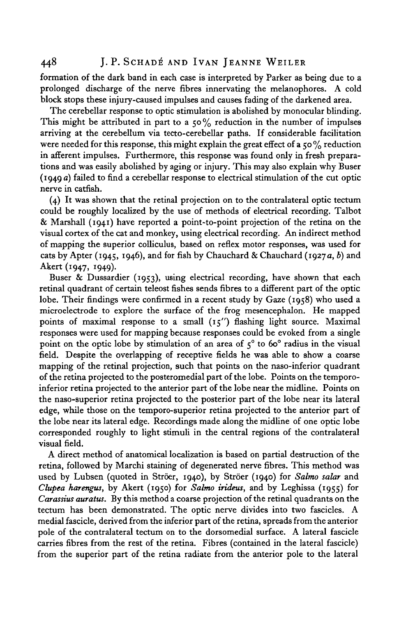formation of the dark band in each case is interpreted by Parker as being due to a prolonged discharge of the nerve fibres innervating the melanophores. A cold block stops these injury-caused impulses and causes fading of the darkened area.

The cerebellar response to optic stimulation is abolished by monocular blinding. This might be attributed in part to a 50% reduction in the number of impulses arriving at the cerebellum via tecto-cerebellar paths. If considerable facilitation were needed for this response, this might explain the great effect of a 50% reduction in afferent impulses. Furthermore, this response was found only in fresh preparations and was easily abolished by aging or injury. This may also explain why Buser (1949 *a)* failed to find a cerebellar response to electrical stimulation of the cut optic nerve in catfish.

(4) It was shown that the retinal projection on to the contralateral optic tectum could be roughly localized by the use of methods of electrical recording. Talbot & Marshall (1941) have reported a point-to-point projection of the retina on the visual cortex of the cat and monkey, using electrical recording. An indirect method of mapping the superior colliculus, based on reflex motor responses, was used for cats by Apter (1945, 1946), and for fish by Chauchard & Chauchard (1927 a, *b)* and Akert (1947, 1949).

Buser & Dussardier (1953), using electrical recording, have shown that each retinal quadrant of certain teleost fishes sends fibres to a different part of the optic lobe. Their findings were confirmed in a recent study by Gaze (1958) who used a microelectrode to explore the surface of the frog mesencephalon. He mapped points of maximal response to a small  $(15'')$  flashing light source. Maximal responses were used for mapping because responses could be evoked from a single point on the optic lobe by stimulation of an area of  $5^{\circ}$  to 60° radius in the visual field. Despite the overlapping of receptive fields he was able to show a coarse mapping of the retinal projection, such that points on the naso-inferior quadrant of the retina projected to the posteromedial part of the lobe. Points on the temporoinferior retina projected to the anterior part of the lobe near the midline. Points on the naso-superior retina projected to the posterior part of the lobe near its lateral edge, while those on the temporo-superior retina projected to the anterior part of the lobe near its lateral edge. Recordings made along the midline of one optic lobe corresponded roughly to light stimuli in the central regions of the contralateral visual field.

A direct method of anatomical localization is based on partial destruction of the retina, followed by Marchi staining of degenerated nerve fibres. This method was used by Lubsen (quoted in Ströer, 1940), by Ströer (1940) for Salmo salar and *Clupea harengus,* by Akert (1950) for *Salmo irideus,* and by Leghissa (1955) for *Carassius auratus.* By this method a coarse projection of the retinal quadrants on the tectum has been demonstrated. The optic nerve divides into two fascicles. A medial fascicle, derived from the inferior part of the retina, spreads from the anterior pole of the contralateral tectum on to the dorsomedial surface. A lateral fascicle carries fibres from the rest of the retina. Fibres (contained in the lateral fascicle) from the superior part of the retina radiate from the anterior pole to the lateral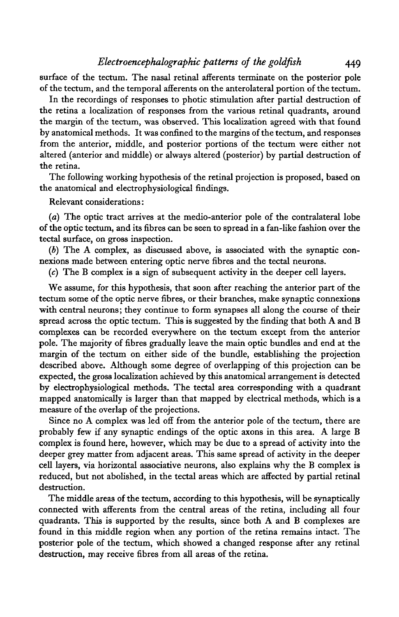surface of the tectum. The nasal retinal afferents terminate on the posterior pole of the tectum, and the temporal afferents on the anterolateral portion of the tectum.

In the recordings of responses to photic stimulation after partial destruction of the retina a localization of responses from the various retinal quadrants, around the margin of the tectum, was observed. This localization agreed with that found by anatomical methods. It was confined to the margins of the tectum, and responses from the anterior, middle, and posterior portions of the tectum were either not altered (anterior and middle) or always altered (posterior) by partial destruction of the retina.

The following working hypothesis of the retinal projection is proposed, based on the anatomical and electrophysiological findings.

Relevant considerations:

*(a)* The optic tract arrives at the medio-anterior pole of the contralateral lobe of the optic tectum, and its fibres can be seen to spread in a fan-like fashion over the tectal surface, on gross inspection.

(6) The A complex, as discussed above, is associated with the synaptic connexions made between entering optic nerve fibres and the tectal neurons.

(c) The B complex is a sign of subsequent activity in the deeper cell layers.

We assume, for this hypothesis, that soon after reaching the anterior part of the tectum some of the optic nerve fibres, or their branches, make synaptic connexions with central neurons; they continue to form synapses all along the course of their spread across the optic tectum. This is suggested by the finding that both A and B complexes can be recorded everywhere on the tectum except from the anterior pole. The majority of fibres gradually leave the main optic bundles and end at the margin of the tectum on either side of the bundle, establishing the projection described above. Although some degree of overlapping of this projection can be expected, the gross localization achieved by this anatomical arrangement is detected by electrophysiological methods. The tectal area corresponding with a quadrant mapped anatomically is larger than that mapped by electrical methods, which is a measure of the overlap of the projections.

Since no A complex was led off from the anterior pole of the tectum, there are probably few if any synaptic endings of the optic axons in this area. A large B complex is found here, however, which may be due to a spread of activity into the deeper grey matter from adjacent areas. This same spread of activity in the deeper cell layers, via horizontal associative neurons, also explains why the B complex is reduced, but not abolished, in the tectal areas which are affected by partial retinal destruction.

The middle areas of the tectum, according to this hypothesis, will be synaptically connected with afferents from the central areas of the retina, including all four quadrants. This is supported by the results, since both A and B complexes are found in this middle region when any portion of the retina remains intact. The posterior pole of the tectum, which showed a changed response after any retinal destruction, may receive fibres from all areas of the retina.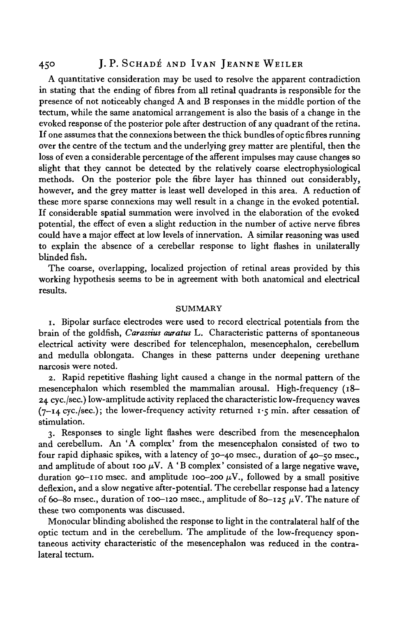# 450 J. P. SCHADÉ AND IVAN JEANNE WEILER

A quantitative consideration may be used to resolve the apparent contradiction in stating that the ending of fibres from all retinal quadrants is responsible for the presence of not noticeably changed A and B responses in the middle portion of the tectum, while the same anatomical arrangement is also the basis of a change in the evoked response of the posterior pole after destruction of any quadrant of the retina. If one assumes that the connexions between the thick bundles of optic fibres running over the centre of the tectum and the underlying grey matter are plentiful, then the loss of even a considerable percentage of the afferent impulses may cause changes so slight that they cannot be detected by the relatively coarse electrophysiological methods. On the posterior pole the fibre layer has thinned out considerably, however, and the grey matter is least well developed in this area. A reduction of these more sparse connexions may well result in a change in the evoked potential. If considerable spatial summation were involved in the elaboration of the evoked potential, the effect of even a slight reduction in the number of active nerve fibres could have a major effect at low levels of innervation. A similar reasoning was used to explain the absence of a cerebellar response to light flashes in unilaterally blinded fish.

The coarse, overlapping, localized projection of retinal areas provided by this working hypothesis seems to be in agreement with both anatomical and electrical results.

## SUMMARY

1. Bipolar surface electrodes were used to record electrical potentials from the brain of the goldfish, *Carassius auratus* L. Characteristic patterns of spontaneous electrical activity were described for telencephalon, mesencephalon, cerebellum and medulla oblongata. Changes in these patterns under deepening urethane narcosis were noted.

2. Rapid repetitive flashing light caused a change in the normal pattern of the mesencephalon which resembled the mammalian arousal. High-frequency (18— 24 cyc./sec.) low-amplitude activity replaced the characteristic low-frequency waves  $(7-14 \text{ cyc./sec.})$ ; the lower-frequency activity returned  $1.5 \text{ min. after cession of}$ stimulation.

3. Responses to single light flashes were described from the mesencephalon and cerebellum. An 'A complex' from the mesencephalon consisted of two to four rapid diphasic spikes, with a latency of 30-40 msec., duration of 40-50 msec, and amplitude of about 100  $\mu$ V. A 'B complex' consisted of a large negative wave, duration 90–110 msec. and amplitude 100–200  $\mu$ V., followed by a small positive deflexion, and a slow negative after-potential. The cerebellar response had a latency of 60–80 msec., duration of 100–120 msec., amplitude of 80–125  $\mu$ V. The nature of these two components was discussed.

Monocular blinding abolished the response to light in the contralateral half of the optic tectum and in the cerebellum. The amplitude of the low-frequency spontaneous activity characteristic of the mesencephalon was reduced in the contralateral tectum.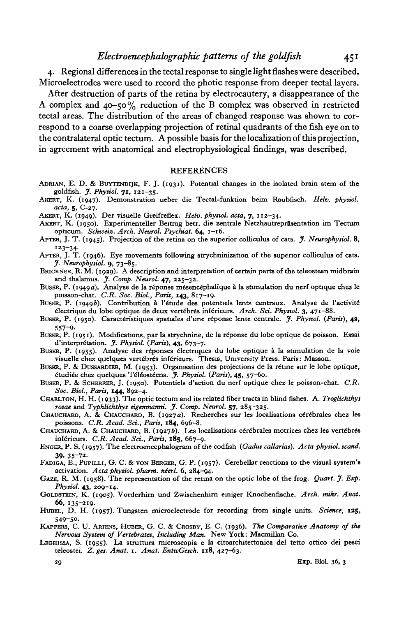4. Regional differences in the tectal response to single light flashes were described. Microelectrodes were used to record the photic response from deeper tectal layers.

After destruction of parts of the retina by electrocautery, a disappearance of the A complex and 40-50% reduction of the B complex was observed in restricted tectal areas. The distribution of the areas of changed response was shown to correspond to a coarse overlapping projection of retinal quadrants of the fish eye on to the contralateral optic tectum. A possible basis for the localization of this projection, in agreement with anatomical and electrophysiological findings, was described.

### REFERENCES

- ADRIAN, E. D. & BUYTENDIJK, F. J. (1931). Potential changes in the isolated brain stem of the goldfish. *J. Pkysiol.* 71, 121-35.
- AKERT, K. (1947). Demonstration ueber die Tectal-funktion beim Raubfisch. *Helv. pkytiol. acta,* 5, C-27.
- AKERT, K. (1949). Der visuelle Greifreflex. *Helv. phynol. acta,* 7, 112-34.
- AKERT, K. (1950). Experimenteller Beitrag betr. die zentrale Netzhautrepräsentation im Tectum opticum. Schweiz. Arch. Neurol. Psychiat. 64, 1-16.
- APTER, J. T. (1945). Projection of the retina on the superior colliculus of cats. *J. Neurophytiol.* 8, 123-34- APTKR, J. T. (1946). Eye movements following strychninization of the superior colliculus of cats.
- *J. Neurophysiol.* 9, 73-85.
- BRICKNER, R. M. (1929). A description and interpretation of certain parts of the teleostean midbrain and thalamus. *J. Comp. Neurol.* 47, 225—32.
- BUSER, P. (1949a). Analyse de la reponse mesencephalique a la stimulation du nerf optique chez le poisson-chat. *C.R. Soc. Biol., Paris,* **143,** 817-19.
- BUSER, P. (1949b). Contribution à l'étude des potentiels lents centraux. Analyse de l'activité electrique du lobe optique de deux vert^bres inferieurs. *Arch. Set. Phystol.* 3, 471-88.
- BUSER, P. (1950). Caractéristiques spatiales d'une réponse lente centrale. *J. Phystol. (Paris)*, **42**,<br>557-9.
- 557-9- BUSER, P. (1951). Modifications, par la strychnine, de la reponse du lobe optique de poisson. Essai d'interpretetion. *J. Phystol. (Paris),* **43,** 673-7.
- BUSER, P. (1955). Analyse des reponses electnques du lobe optique a la stimulation de la voie visuelle chez quelques vertébres inférieurs. Thesis, University Press. Paris: Masson.
- BUSER, P. & DUSSARDIER, M. (1953). Organisation des projections de la rétine sur le lobe optique, etudiee chez quelques Teleosteens. *J. Pkysiol. (Paris),* **45,** 57-60.
- BUSER, P. & SCHKRRER, J. (1950). Potentiels d'action du nerf optique chez le poisson-chat. *C.R. Soc. Biol., Paris,* **144,** 892-4.
- CHARLTON, H. H. (1933). The optic tectum and its related fiber tracts in blind fishes. A. *Troglichthys rosae* and *Typhlichtkys eigenmanm. J. Comp. Neurol.* 57, 285-325.
- CHAUCHARD, A. & CHAUCHARD, B. (1927a). Recherches sur les localisations cérébrales chez les poissons. *C.R. Acad. Sci., Paris,* **184,** 696—8.
- CHAUCHARD, A. & CHAUCHARD, B. (1927b). Les localisations cérébrales motrices chez les vertébrés inferieurs. *C.R. Acad. Sci., Paris,* **i8g,** 667-9.
- ENGKR, P. S. (1957). The electroencephalogram of the codfish *(Gadus callarias). Acta pkysiol. scand.* 39. 35-72- FADIGA, E., PUPILLI, G. C. & VON BERGER, G. P. (1957). Cerebellar reactions to the visual system's
- activation. *Acta pkysiol. pharm. nierl.* 6, 284—94.
- GAZE, R. M. (1958). The representation of the retina on the optic lobe of the frog. *Quart. J. Exp. Physiol.* **43,** 200-14.
- GoLDSTETN, K. (1905). Vorderhirn und Zwischenhim einiger Knochenfische. *Arch. mikr. Anat.* 66, 135-219.
- HUBEL, D. H. (1957). Tungsten microelectrode for recording from single units. *Science,* **135,**
- 549-50.<br>KAPPERS, C. U. ARIENS, HUBER, G. C. & CROSBY, E. C. (1936). *The Comparative Anatomy of the Nervous System of Vertebrates, Including Man.* New York: Macmillan Co.
- LEGHISSA, S. (1955). La struttura microscopia e la citoarchitettonica del tetto ottico dei pesci teleostei. *Z. ges. Anat.* 1. *Anat. EnttvGesch.* **118,** 427-63.